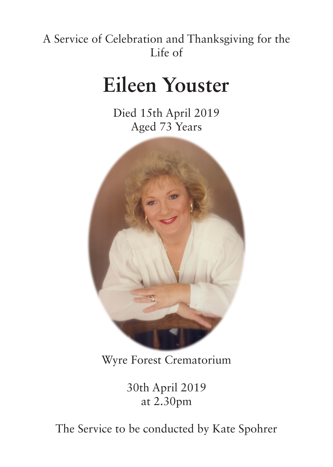## A Service of Celebration and Thanksgiving for the Life of

# **Eileen Youster**

Died 15th April 2019 Aged 73 Years



## Wyre Forest Crematorium

30th April 2019 at 2.30pm

The Service to be conducted by Kate Spohrer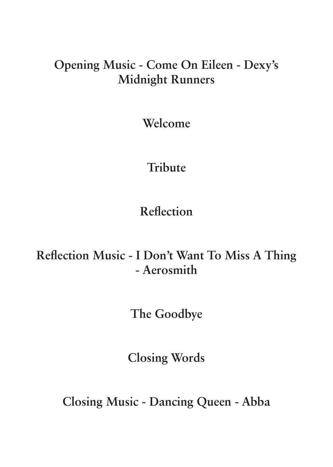#### **Opening Music - Come On Eileen - Dexy's Midnight Runners**

**Welcome**

#### **Tribute**

**Reflection**

## **Reflection Music - I Don't Want To Miss A Thing - Aerosmith**

**The Goodbye**

**Closing Words**

**Closing Music - Dancing Queen - Abba**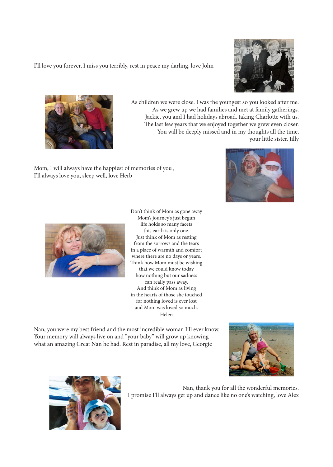I'll love you forever, I miss you terribly, rest in peace my darling, love John



As children we were close. I was the youngest so you looked after me. Jackie, you and I had holidays abroad, taking Charlotte with us. The last few years that we enjoyed together we grew even closer. You will be deeply missed and in my thoughts all the time, your little sister, Jilly

Mom, I will always have the happiest of memories of you , I'll always love you, sleep well, love Herb





Don't think of Mom as gone away Mom's journey's just begun life holds so many facets this earth is only one. Just think of Mom as resting from the sorrows and the tears in a place of warmth and comfort where there are no days or years. Think how Mom must be wishing that we could know today how nothing but our sadness can really pass away. And think of Mom as living in the hearts of those she touched for nothing loved is ever lost and Mom was loved so much. Helen

Nan, you were my best friend and the most incredible woman I'll ever know. Your memory will always live on and "your baby" will grow up knowing what an amazing Great Nan he had. Rest in paradise, all my love, Georgie





Nan, thank you for all the wonderful memories. I promise I'll always get up and dance like no one's watching, love Alex